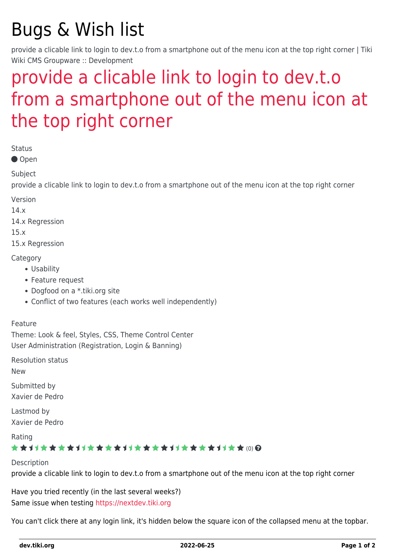# Bugs & Wish list

provide a clicable link to login to dev.t.o from a smartphone out of the menu icon at the top right corner | Tiki Wiki CMS Groupware :: Development

## [provide a clicable link to login to dev.t.o](https://dev.tiki.org/item5887-provide-a-clicable-link-to-login-to-dev-t-o-from-a-smartphone-out-of-the-menu-icon-at-the-top-right-corner) [from a smartphone out of the menu icon at](https://dev.tiki.org/item5887-provide-a-clicable-link-to-login-to-dev-t-o-from-a-smartphone-out-of-the-menu-icon-at-the-top-right-corner) [the top right corner](https://dev.tiki.org/item5887-provide-a-clicable-link-to-login-to-dev-t-o-from-a-smartphone-out-of-the-menu-icon-at-the-top-right-corner)

Status

● Open

Subject

provide a clicable link to login to dev.t.o from a smartphone out of the menu icon at the top right corner

Version

14.x

14.x Regression

15.x

15.x Regression

**Category** 

- Usability
- Feature request
- Dogfood on a \*.tiki.org site
- Conflict of two features (each works well independently)

#### Feature

Theme: Look & feel, Styles, CSS, Theme Control Center User Administration (Registration, Login & Banning)

Resolution status

New

Submitted by Xavier de Pedro

Lastmod by Xavier de Pedro

Rating

#### \*\*\*\*\*\*\*\*\*\*\*\*\*\*\*\*\*\*\*\*\*\*\*\*\*\*\*\*\*\*\*

Description

provide a clicable link to login to dev.t.o from a smartphone out of the menu icon at the top right corner

Have you tried recently (in the last several weeks?) Same issue when testing<https://nextdev.tiki.org>

You can't click there at any login link, it's hidden below the square icon of the collapsed menu at the topbar.